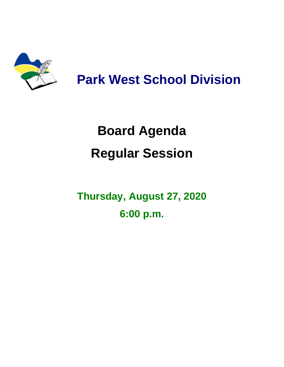

# **Park West School Division**

# **Board Agenda Regular Session**

# **Thursday, August 27, 2020 6:00 p.m.**